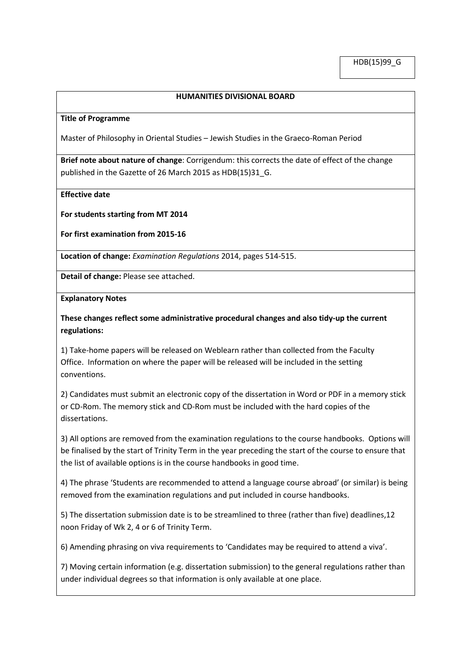HDB(15)99\_G

## **HUMANITIES DIVISIONAL BOARD**

#### **Title of Programme**

Master of Philosophy in Oriental Studies – Jewish Studies in the Graeco-Roman Period

**Brief note about nature of change**: Corrigendum: this corrects the date of effect of the change published in the Gazette of 26 March 2015 as HDB(15)31 G.

### **Effective date**

**For students starting from MT 2014**

**For first examination from 2015-16**

**Location of change:** *Examination Regulations* 2014, pages 514-515.

**Detail of change:** Please see attached.

#### **Explanatory Notes**

**These changes reflect some administrative procedural changes and also tidy-up the current regulations:**

1) Take-home papers will be released on Weblearn rather than collected from the Faculty Office. Information on where the paper will be released will be included in the setting conventions.

2) Candidates must submit an electronic copy of the dissertation in Word or PDF in a memory stick or CD-Rom. The memory stick and CD-Rom must be included with the hard copies of the dissertations.

3) All options are removed from the examination regulations to the course handbooks. Options will be finalised by the start of Trinity Term in the year preceding the start of the course to ensure that the list of available options is in the course handbooks in good time.

4) The phrase 'Students are recommended to attend a language course abroad' (or similar) is being removed from the examination regulations and put included in course handbooks.

5) The dissertation submission date is to be streamlined to three (rather than five) deadlines,12 noon Friday of Wk 2, 4 or 6 of Trinity Term.

6) Amending phrasing on viva requirements to 'Candidates may be required to attend a viva'.

7) Moving certain information (e.g. dissertation submission) to the general regulations rather than under individual degrees so that information is only available at one place.